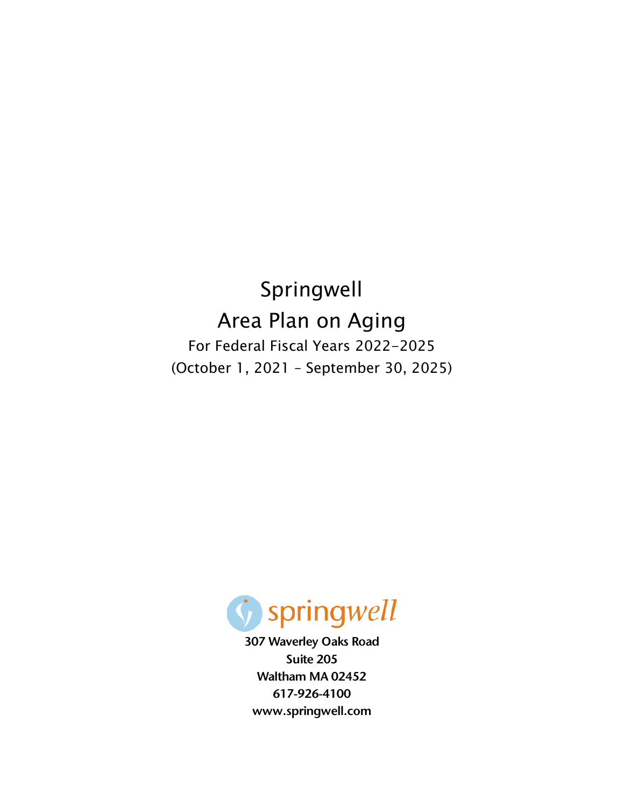Springwell Area Plan on Aging For Federal Fiscal Years 2022-2025 (October 1, 2021 – September 30, 2025)



307 Waverley Oaks Road Suite 205 Waltham MA 02452 617-926-4100 www.springwell.com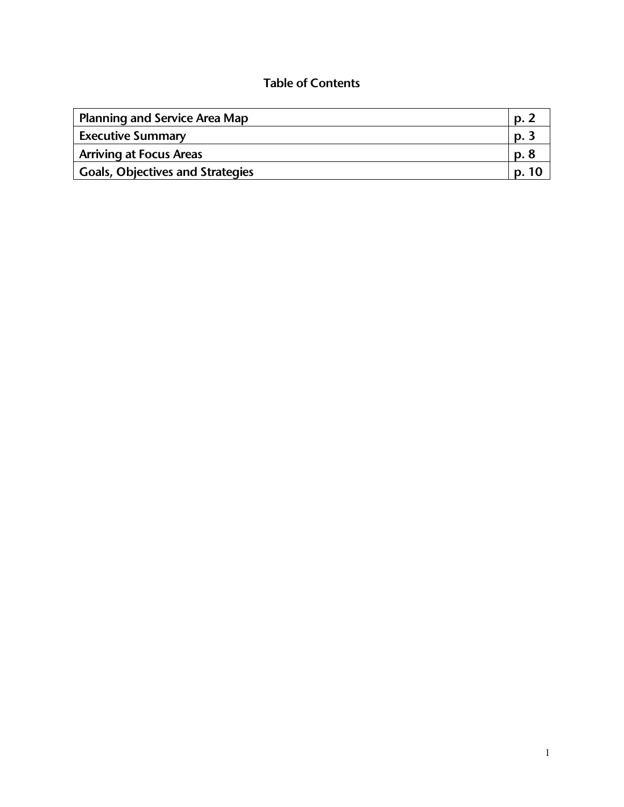# Table of Contents

| <b>Planning and Service Area Map</b> | Ŋ.    |
|--------------------------------------|-------|
| <b>Executive Summary</b>             | D.    |
| <b>Arriving at Focus Areas</b>       | p. 8  |
| Goals, Objectives and Strategies     | p. 10 |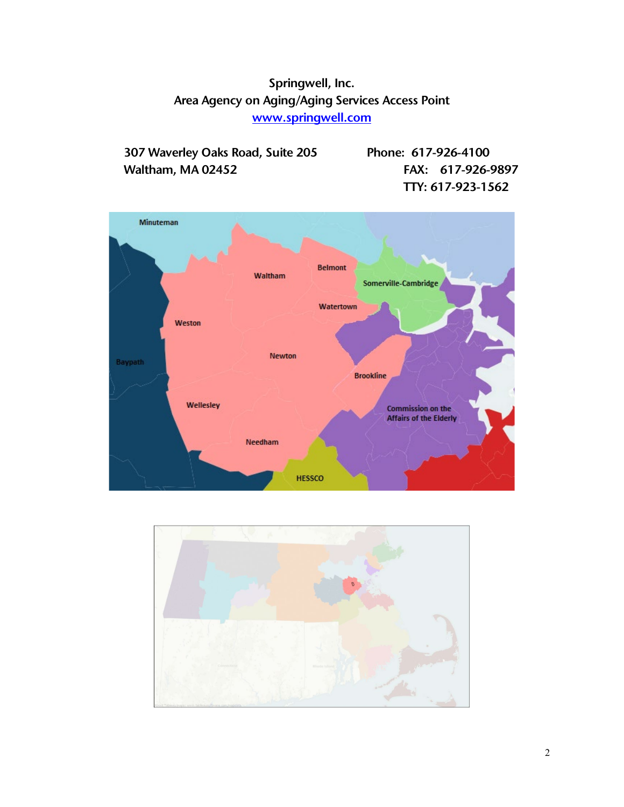# Springwell, Inc. Area Agency on Aging/Aging Services Access Point [www.springwell.com](http://www.springwell.com/)

307 Waverley Oaks Road, Suite 205 Phone: 617-926-4100 Waltham, MA 02452 **FAX: 617-926-9897** TTY: 617-923-1562



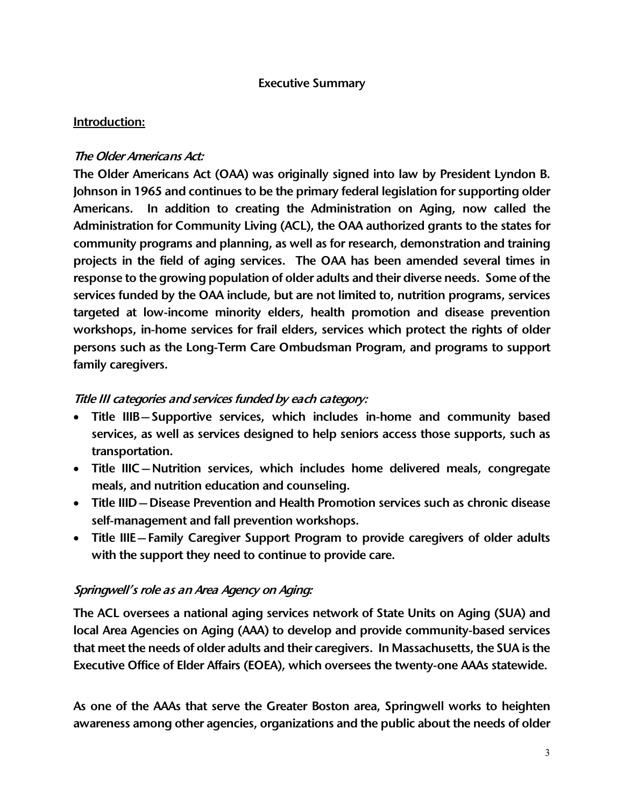#### Executive Summary

#### Introduction:

### The Older Americans Act:

The Older Americans Act (OAA) was originally signed into law by President Lyndon B. Johnson in 1965 and continues to be the primary federal legislation for supporting older Americans. In addition to creating the Administration on Aging, now called the Administration for Community Living (ACL), the OAA authorized grants to the states for community programs and planning, as well as for research, demonstration and training projects in the field of aging services. The OAA has been amended several times in response to the growing population of older adults and their diverse needs. Some of the services funded by the OAA include, but are not limited to, nutrition programs, services targeted at low-income minority elders, health promotion and disease prevention workshops, in-home services for frail elders, services which protect the rights of older persons such as the Long-Term Care Ombudsman Program, and programs to support family caregivers.

# Title III categories and services funded by each category:

- Title IIIB—Supportive services, which includes in-home and community based services, as well as services designed to help seniors access those supports, such as transportation.
- Title IIIC—Nutrition services, which includes home delivered meals, congregate meals, and nutrition education and counseling.
- Title IIID—Disease Prevention and Health Promotion services such as chronic disease self-management and fall prevention workshops.
- Title IIIE—Family Caregiver Support Program to provide caregivers of older adults with the support they need to continue to provide care.

# Springwell's role as an Area Agency on Aging:

The ACL oversees a national aging services network of State Units on Aging (SUA) and local Area Agencies on Aging (AAA) to develop and provide community-based services that meet the needs of older adults and their caregivers. In Massachusetts, the SUA is the Executive Office of Elder Affairs (EOEA), which oversees the twenty-one AAAs statewide.

As one of the AAAs that serve the Greater Boston area, Springwell works to heighten awareness among other agencies, organizations and the public about the needs of older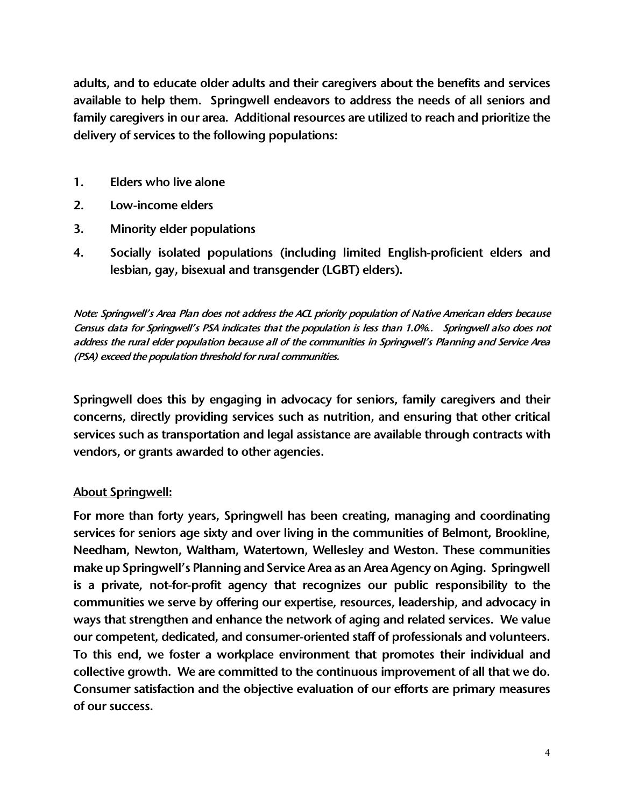adults, and to educate older adults and their caregivers about the benefits and services available to help them. Springwell endeavors to address the needs of all seniors and family caregivers in our area. Additional resources are utilized to reach and prioritize the delivery of services to the following populations:

- 1. Elders who live alone
- 2. Low-income elders
- 3. Minority elder populations
- 4. Socially isolated populations (including limited English-proficient elders and lesbian, gay, bisexual and transgender (LGBT) elders).

Note: Springwell's Area Plan does not address the ACL priority population of Native American elders because Census data for Springwell's PSA indicates that the population is less than 1.0%.. Springwell also does not address the rural elder population because all of the communities in Springwell's Planning and Service Area (PSA) exceed the population threshold for rural communities.

Springwell does this by engaging in advocacy for seniors, family caregivers and their concerns, directly providing services such as nutrition, and ensuring that other critical services such as transportation and legal assistance are available through contracts with vendors, or grants awarded to other agencies.

# About Springwell:

For more than forty years, Springwell has been creating, managing and coordinating services for seniors age sixty and over living in the communities of Belmont, Brookline, Needham, Newton, Waltham, Watertown, Wellesley and Weston. These communities make up Springwell's Planning and Service Area as an Area Agency on Aging. Springwell is a private, not-for-profit agency that recognizes our public responsibility to the communities we serve by offering our expertise, resources, leadership, and advocacy in ways that strengthen and enhance the network of aging and related services. We value our competent, dedicated, and consumer-oriented staff of professionals and volunteers. To this end, we foster a workplace environment that promotes their individual and collective growth. We are committed to the continuous improvement of all that we do. Consumer satisfaction and the objective evaluation of our efforts are primary measures of our success.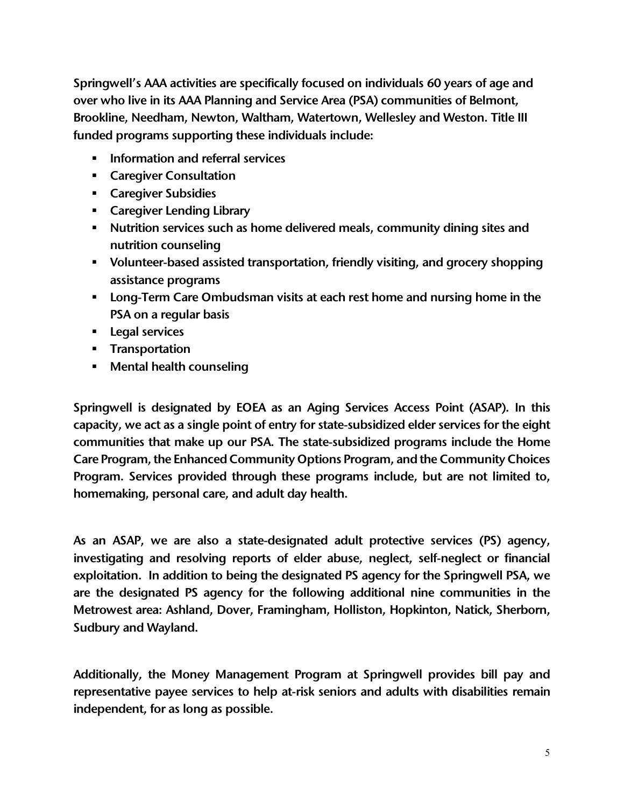Springwell's AAA activities are specifically focused on individuals 60 years of age and over who live in its AAA Planning and Service Area (PSA) communities of Belmont, Brookline, Needham, Newton, Waltham, Watertown, Wellesley and Weston. Title III funded programs supporting these individuals include:

- **Information and referral services**
- **EXEC** Consultation
- **Exerciver Subsidies**
- Caregiver Lending Library
- Nutrition services such as home delivered meals, community dining sites and nutrition counseling
- Volunteer-based assisted transportation, friendly visiting, and grocery shopping assistance programs
- **Long-Term Care Ombudsman visits at each rest home and nursing home in the** PSA on a regular basis
- **Legal services**
- **Transportation**
- **Mental health counseling**

Springwell is designated by EOEA as an Aging Services Access Point (ASAP). In this capacity, we act as a single point of entry for state-subsidized elder services for the eight communities that make up our PSA. The state-subsidized programs include the Home Care Program, the Enhanced Community Options Program, and the Community Choices Program. Services provided through these programs include, but are not limited to, homemaking, personal care, and adult day health.

As an ASAP, we are also a state-designated adult protective services (PS) agency, investigating and resolving reports of elder abuse, neglect, self-neglect or financial exploitation. In addition to being the designated PS agency for the Springwell PSA, we are the designated PS agency for the following additional nine communities in the Metrowest area: Ashland, Dover, Framingham, Holliston, Hopkinton, Natick, Sherborn, Sudbury and Wayland.

Additionally, the Money Management Program at Springwell provides bill pay and representative payee services to help at-risk seniors and adults with disabilities remain independent, for as long as possible.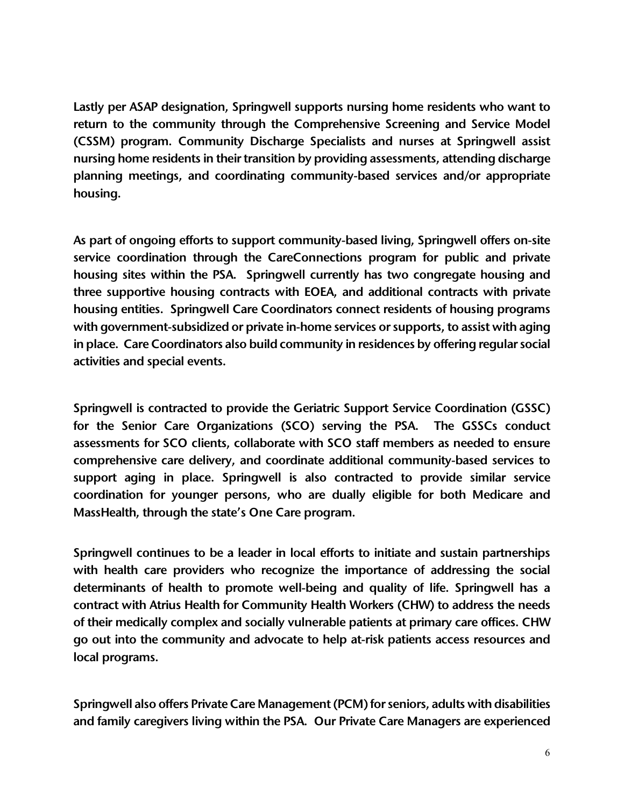Lastly per ASAP designation, Springwell supports nursing home residents who want to return to the community through the Comprehensive Screening and Service Model (CSSM) program. Community Discharge Specialists and nurses at Springwell assist nursing home residents in their transition by providing assessments, attending discharge planning meetings, and coordinating community-based services and/or appropriate housing.

As part of ongoing efforts to support community-based living, Springwell offers on-site service coordination through the CareConnections program for public and private housing sites within the PSA. Springwell currently has two congregate housing and three supportive housing contracts with EOEA, and additional contracts with private housing entities. Springwell Care Coordinators connect residents of housing programs with government-subsidized or private in-home services or supports, to assist with aging in place. Care Coordinators also build community in residences by offering regular social activities and special events.

Springwell is contracted to provide the Geriatric Support Service Coordination (GSSC) for the Senior Care Organizations (SCO) serving the PSA. The GSSCs conduct assessments for SCO clients, collaborate with SCO staff members as needed to ensure comprehensive care delivery, and coordinate additional community-based services to support aging in place. Springwell is also contracted to provide similar service coordination for younger persons, who are dually eligible for both Medicare and MassHealth, through the state's One Care program.

Springwell continues to be a leader in local efforts to initiate and sustain partnerships with health care providers who recognize the importance of addressing the social determinants of health to promote well-being and quality of life. Springwell has a contract with Atrius Health for Community Health Workers (CHW) to address the needs of their medically complex and socially vulnerable patients at primary care offices. CHW go out into the community and advocate to help at-risk patients access resources and local programs.

Springwell also offers Private Care Management (PCM) for seniors, adults with disabilities and family caregivers living within the PSA. Our Private Care Managers are experienced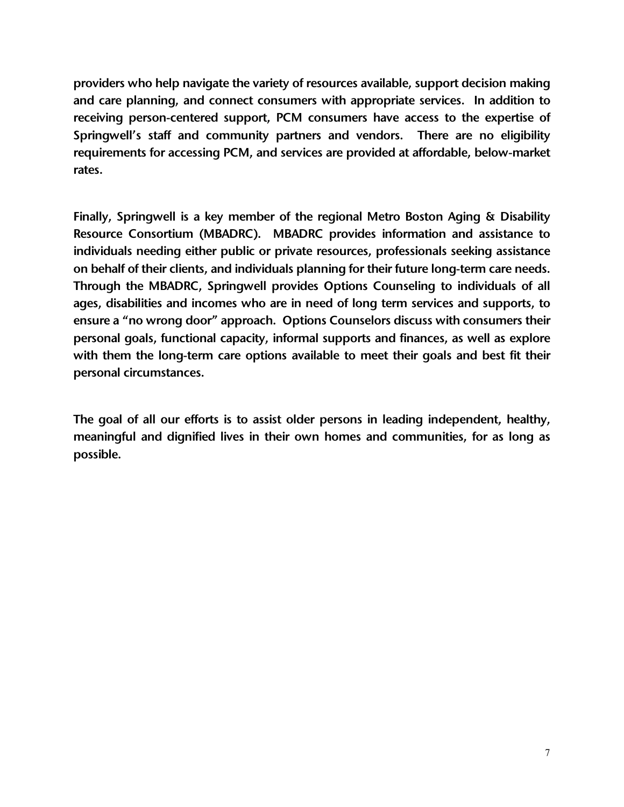providers who help navigate the variety of resources available, support decision making and care planning, and connect consumers with appropriate services. In addition to receiving person-centered support, PCM consumers have access to the expertise of Springwell's staff and community partners and vendors. There are no eligibility requirements for accessing PCM, and services are provided at affordable, below-market rates.

Finally, Springwell is a key member of the regional Metro Boston Aging & Disability Resource Consortium (MBADRC). MBADRC provides information and assistance to individuals needing either public or private resources, professionals seeking assistance on behalf of their clients, and individuals planning for their future long-term care needs. Through the MBADRC, Springwell provides Options Counseling to individuals of all ages, disabilities and incomes who are in need of long term services and supports, to ensure a "no wrong door" approach. Options Counselors discuss with consumers their personal goals, functional capacity, informal supports and finances, as well as explore with them the long-term care options available to meet their goals and best fit their personal circumstances.

The goal of all our efforts is to assist older persons in leading independent, healthy, meaningful and dignified lives in their own homes and communities, for as long as possible.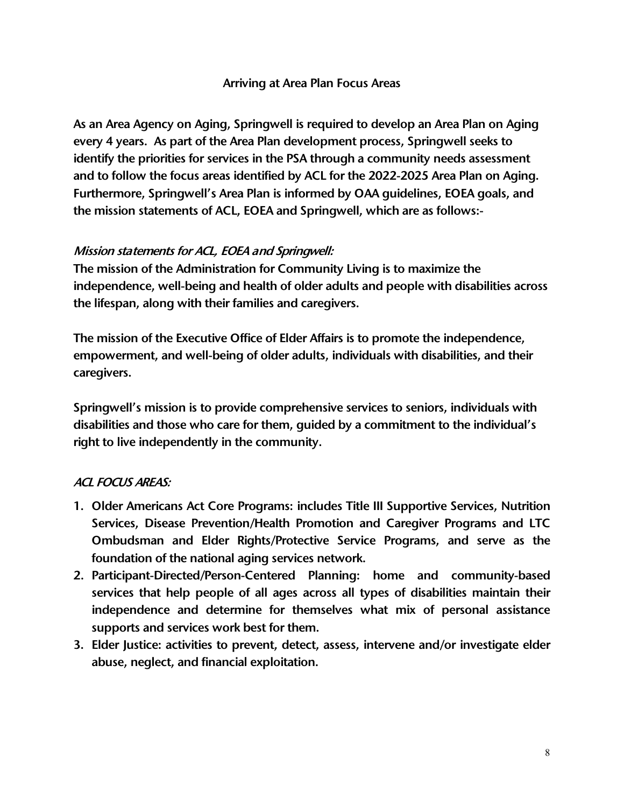#### Arriving at Area Plan Focus Areas

As an Area Agency on Aging, Springwell is required to develop an Area Plan on Aging every 4 years. As part of the Area Plan development process, Springwell seeks to identify the priorities for services in the PSA through a community needs assessment and to follow the focus areas identified by ACL for the 2022-2025 Area Plan on Aging. Furthermore, Springwell's Area Plan is informed by OAA guidelines, EOEA goals, and the mission statements of ACL, EOEA and Springwell, which are as follows:-

# Mission statements for ACL, EOEA and Springwell:

The mission of the Administration for Community Living is to maximize the independence, well-being and health of older adults and people with disabilities across the lifespan, along with their families and caregivers.

The mission of the Executive Office of Elder Affairs is to promote the independence, empowerment, and well-being of older adults, individuals with disabilities, and their caregivers.

Springwell's mission is to provide comprehensive services to seniors, individuals with disabilities and those who care for them, guided by a commitment to the individual's right to live independently in the community.

#### ACL FOCUS AREAS:

- 1. Older Americans Act Core Programs: includes Title III Supportive Services, Nutrition Services, Disease Prevention/Health Promotion and Caregiver Programs and LTC Ombudsman and Elder Rights/Protective Service Programs, and serve as the foundation of the national aging services network.
- 2. Participant-Directed/Person-Centered Planning: home and community-based services that help people of all ages across all types of disabilities maintain their independence and determine for themselves what mix of personal assistance supports and services work best for them.
- 3. Elder Justice: activities to prevent, detect, assess, intervene and/or investigate elder abuse, neglect, and financial exploitation.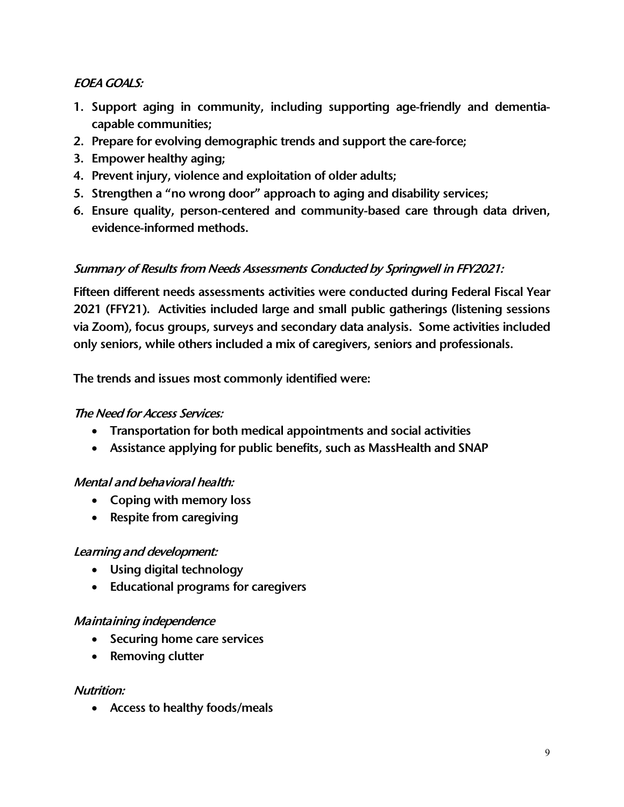# EOEA GOALS:

- 1. Support aging in community, including supporting age-friendly and dementiacapable communities;
- 2. Prepare for evolving demographic trends and support the care-force;
- 3. Empower healthy aging;
- 4. Prevent injury, violence and exploitation of older adults;
- 5. Strengthen a "no wrong door" approach to aging and disability services;
- 6. Ensure quality, person-centered and community-based care through data driven, evidence-informed methods.

# Summary of Results from Needs Assessments Conducted by Springwell in FFY2021:

Fifteen different needs assessments activities were conducted during Federal Fiscal Year 2021 (FFY21). Activities included large and small public gatherings (listening sessions via Zoom), focus groups, surveys and secondary data analysis. Some activities included only seniors, while others included a mix of caregivers, seniors and professionals.

The trends and issues most commonly identified were:

# The Need for Access Services:

- Transportation for both medical appointments and social activities
- Assistance applying for public benefits, such as MassHealth and SNAP

# Mental and behavioral health:

- Coping with memory loss
- Respite from caregiving

# Learning and development:

- Using digital technology
- Educational programs for caregivers

# Maintaining independence

- Securing home care services
- Removing clutter

# Nutrition:

• Access to healthy foods/meals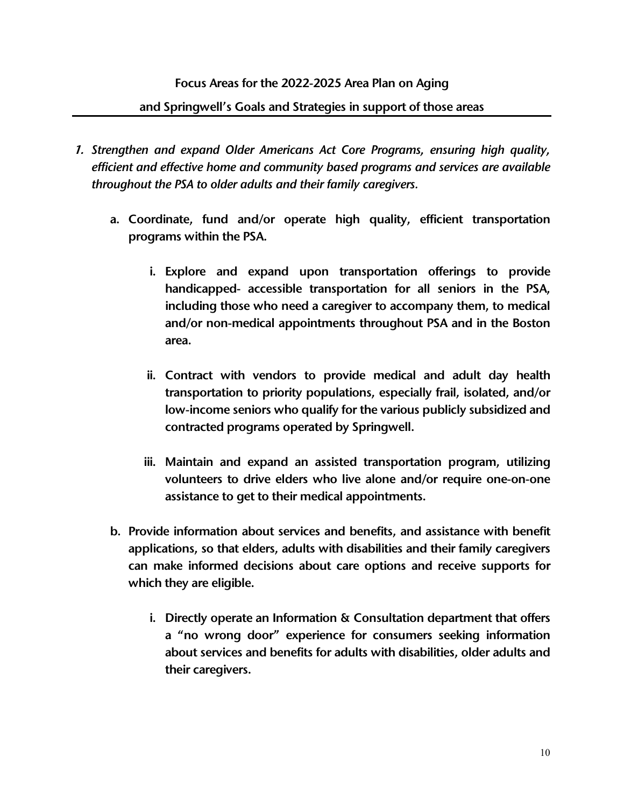#### Focus Areas for the 2022-2025 Area Plan on Aging

#### and Springwell's Goals and Strategies in support of those areas

- 1. *Strengthen and expand Older Americans Act Core Programs, ensuring high quality, efficient and effective home and community based programs and services are available throughout the PSA to older adults and their family caregivers.*
	- a. Coordinate, fund and/or operate high quality, efficient transportation programs within the PSA.
		- i. Explore and expand upon transportation offerings to provide handicapped- accessible transportation for all seniors in the PSA, including those who need a caregiver to accompany them, to medical and/or non-medical appointments throughout PSA and in the Boston area.
		- ii. Contract with vendors to provide medical and adult day health transportation to priority populations, especially frail, isolated, and/or low-income seniors who qualify for the various publicly subsidized and contracted programs operated by Springwell.
		- iii. Maintain and expand an assisted transportation program, utilizing volunteers to drive elders who live alone and/or require one-on-one assistance to get to their medical appointments.
	- b. Provide information about services and benefits, and assistance with benefit applications, so that elders, adults with disabilities and their family caregivers can make informed decisions about care options and receive supports for which they are eligible.
		- i. Directly operate an Information & Consultation department that offers a "no wrong door" experience for consumers seeking information about services and benefits for adults with disabilities, older adults and their caregivers.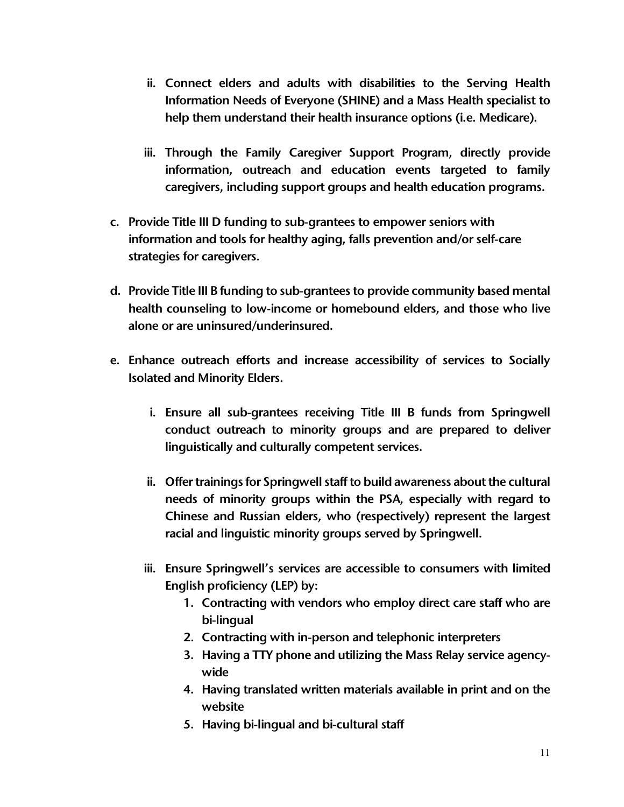- ii. Connect elders and adults with disabilities to the Serving Health Information Needs of Everyone (SHINE) and a Mass Health specialist to help them understand their health insurance options (i.e. Medicare).
- iii. Through the Family Caregiver Support Program, directly provide information, outreach and education events targeted to family caregivers, including support groups and health education programs.
- c. Provide Title III D funding to sub-grantees to empower seniors with information and tools for healthy aging, falls prevention and/or self-care strategies for caregivers.
- d. Provide Title III B funding to sub-grantees to provide community based mental health counseling to low-income or homebound elders, and those who live alone or are uninsured/underinsured.
- e. Enhance outreach efforts and increase accessibility of services to Socially Isolated and Minority Elders.
	- i. Ensure all sub-grantees receiving Title III B funds from Springwell conduct outreach to minority groups and are prepared to deliver linguistically and culturally competent services.
	- ii. Offer trainings for Springwell staff to build awareness about the cultural needs of minority groups within the PSA, especially with regard to Chinese and Russian elders, who (respectively) represent the largest racial and linguistic minority groups served by Springwell.
	- iii. Ensure Springwell's services are accessible to consumers with limited English proficiency (LEP) by:
		- 1. Contracting with vendors who employ direct care staff who are bi-lingual
		- 2. Contracting with in-person and telephonic interpreters
		- 3. Having a TTY phone and utilizing the Mass Relay service agencywide
		- 4. Having translated written materials available in print and on the website
		- 5. Having bi-lingual and bi-cultural staff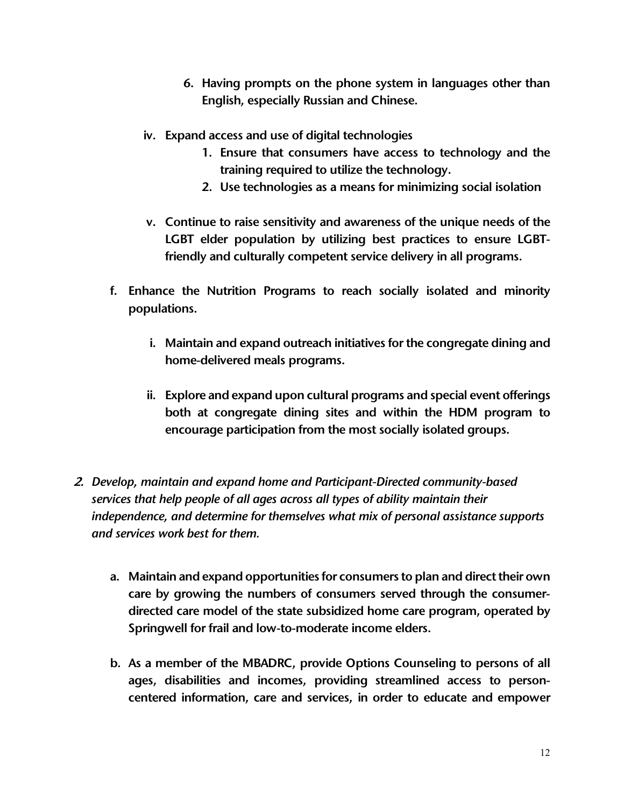- 6. Having prompts on the phone system in languages other than English, especially Russian and Chinese.
- iv. Expand access and use of digital technologies
	- 1. Ensure that consumers have access to technology and the training required to utilize the technology.
	- 2. Use technologies as a means for minimizing social isolation
- v. Continue to raise sensitivity and awareness of the unique needs of the LGBT elder population by utilizing best practices to ensure LGBTfriendly and culturally competent service delivery in all programs.
- f. Enhance the Nutrition Programs to reach socially isolated and minority populations.
	- i. Maintain and expand outreach initiatives for the congregate dining and home-delivered meals programs.
	- ii. Explore and expand upon cultural programs and special event offerings both at congregate dining sites and within the HDM program to encourage participation from the most socially isolated groups.
- 2. *Develop, maintain and expand home and Participant-Directed community-based services that help people of all ages across all types of ability maintain their independence, and determine for themselves what mix of personal assistance supports and services work best for them.* 
	- a. Maintain and expand opportunities for consumers to plan and direct their own care by growing the numbers of consumers served through the consumerdirected care model of the state subsidized home care program, operated by Springwell for frail and low-to-moderate income elders.
	- b. As a member of the MBADRC, provide Options Counseling to persons of all ages, disabilities and incomes, providing streamlined access to personcentered information, care and services, in order to educate and empower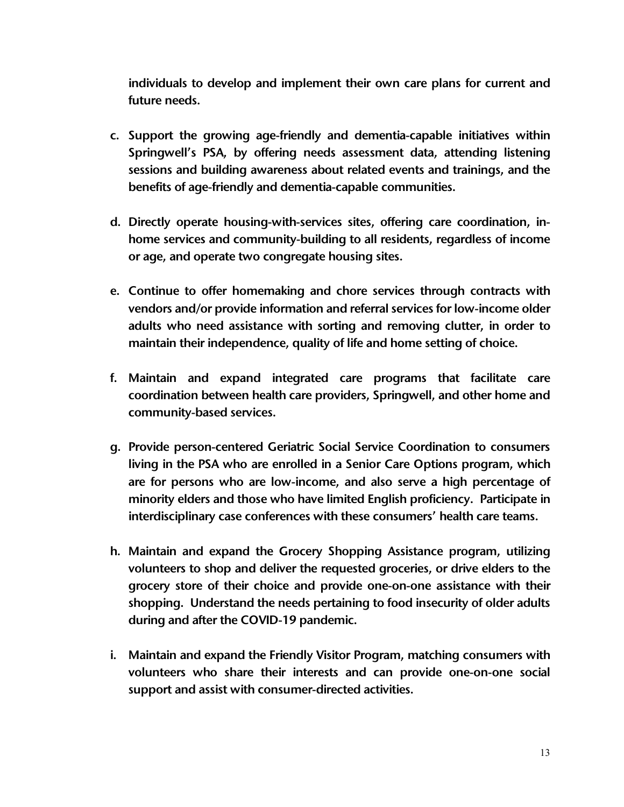individuals to develop and implement their own care plans for current and future needs.

- c. Support the growing age-friendly and dementia-capable initiatives within Springwell's PSA, by offering needs assessment data, attending listening sessions and building awareness about related events and trainings, and the benefits of age-friendly and dementia-capable communities.
- d. Directly operate housing-with-services sites, offering care coordination, inhome services and community-building to all residents, regardless of income or age, and operate two congregate housing sites.
- e. Continue to offer homemaking and chore services through contracts with vendors and/or provide information and referral services for low-income older adults who need assistance with sorting and removing clutter, in order to maintain their independence, quality of life and home setting of choice.
- f. Maintain and expand integrated care programs that facilitate care coordination between health care providers, Springwell, and other home and community-based services.
- g. Provide person-centered Geriatric Social Service Coordination to consumers living in the PSA who are enrolled in a Senior Care Options program, which are for persons who are low-income, and also serve a high percentage of minority elders and those who have limited English proficiency. Participate in interdisciplinary case conferences with these consumers' health care teams.
- h. Maintain and expand the Grocery Shopping Assistance program, utilizing volunteers to shop and deliver the requested groceries, or drive elders to the grocery store of their choice and provide one-on-one assistance with their shopping. Understand the needs pertaining to food insecurity of older adults during and after the COVID-19 pandemic.
- i. Maintain and expand the Friendly Visitor Program, matching consumers with volunteers who share their interests and can provide one-on-one social support and assist with consumer-directed activities.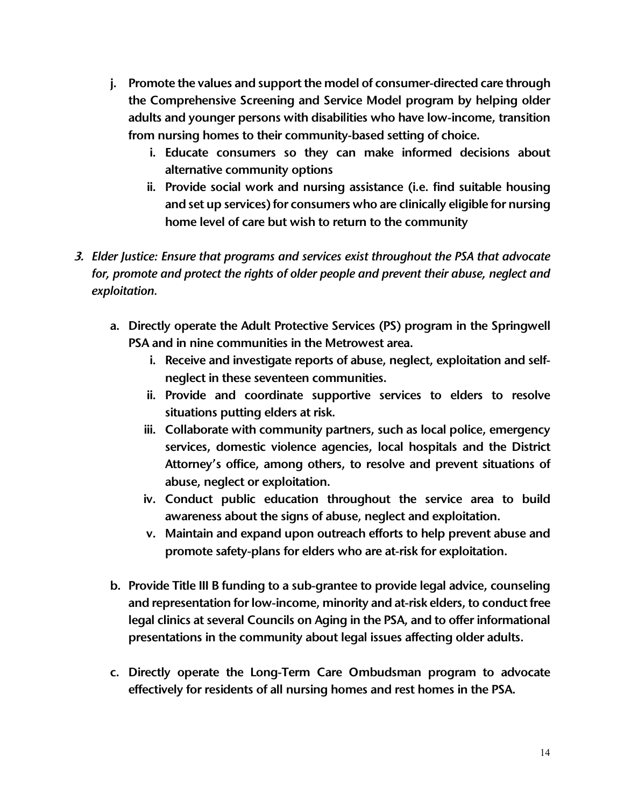- j. Promote the values and support the model of consumer-directed care through the Comprehensive Screening and Service Model program by helping older adults and younger persons with disabilities who have low-income, transition from nursing homes to their community-based setting of choice.
	- i. Educate consumers so they can make informed decisions about alternative community options
	- ii. Provide social work and nursing assistance (i.e. find suitable housing and set up services) for consumers who are clinically eligible for nursing home level of care but wish to return to the community
- 3. *Elder Justice: Ensure that programs and services exist throughout the PSA that advocate*  for, promote and protect the rights of older people and prevent their abuse, neglect and *exploitation.*
	- a. Directly operate the Adult Protective Services (PS) program in the Springwell PSA and in nine communities in the Metrowest area.
		- i. Receive and investigate reports of abuse, neglect, exploitation and selfneglect in these seventeen communities.
		- ii. Provide and coordinate supportive services to elders to resolve situations putting elders at risk.
		- iii. Collaborate with community partners, such as local police, emergency services, domestic violence agencies, local hospitals and the District Attorney's office, among others, to resolve and prevent situations of abuse, neglect or exploitation.
		- iv. Conduct public education throughout the service area to build awareness about the signs of abuse, neglect and exploitation.
		- v. Maintain and expand upon outreach efforts to help prevent abuse and promote safety-plans for elders who are at-risk for exploitation.
	- b. Provide Title III B funding to a sub-grantee to provide legal advice, counseling and representation for low-income, minority and at-risk elders, to conduct free legal clinics at several Councils on Aging in the PSA, and to offer informational presentations in the community about legal issues affecting older adults.
	- c. Directly operate the Long-Term Care Ombudsman program to advocate effectively for residents of all nursing homes and rest homes in the PSA.